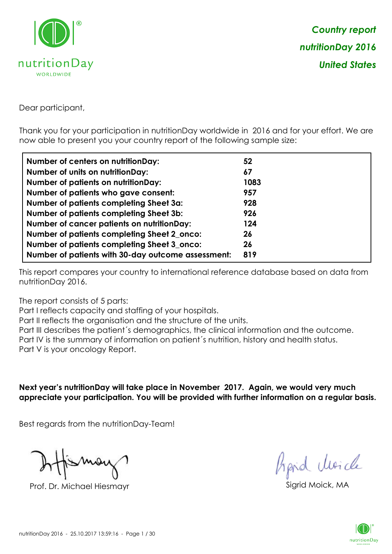

Dear participant,

Thank you for your participation in nutritionDay worldwide in 2016 and for your effort. We are now able to present you your country report of the following sample size:

| Number of centers on nutritionDay:                 | 52   |
|----------------------------------------------------|------|
| <b>Number of units on nutrition Day:</b>           | 67   |
| <b>Number of patients on nutritionDay:</b>         | 1083 |
| Number of patients who gave consent:               | 957  |
| Number of patients completing Sheet 3a:            | 928  |
| <b>Number of patients completing Sheet 3b:</b>     | 926  |
| <b>Number of cancer patients on nutritionDay:</b>  | 124  |
| Number of patients completing Sheet 2_onco:        | 26   |
| Number of patients completing Sheet 3_onco:        | 26   |
| Number of patients with 30-day outcome assessment: | 819  |

This report compares your country to international reference database based on data from nutritionDay 2016.

The report consists of 5 parts:

Part I reflects capacity and staffing of your hospitals.

Part II reflects the organisation and the structure of the units.

Part III describes the patient´s demographics, the clinical information and the outcome.

Part IV is the summary of information on patient´s nutrition, history and health status.

Part V is your oncology Report.

**Next year's nutritionDay will take place in November 2017. Again, we would very much appreciate your participation. You will be provided with further information on a regular basis.**

Best regards from the nutritionDay-Team!

Prof. Dr. Michael Hiesmayr Sigrid Moick, M

*Prpid cluricle* 

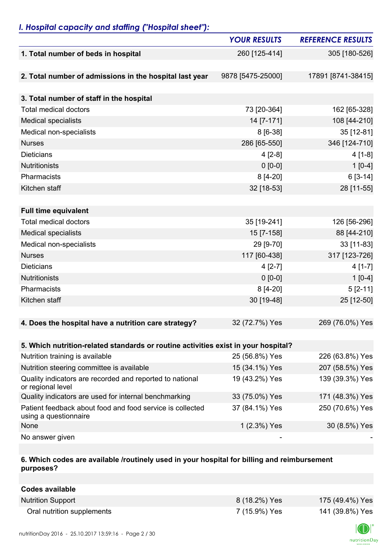## *I. Hospital capacity and staffing ("Hospital sheet"):*

|                                                                                    | <b>YOUR RESULTS</b> | <b>REFERENCE RESULTS</b> |
|------------------------------------------------------------------------------------|---------------------|--------------------------|
| 1. Total number of beds in hospital                                                | 260 [125-414]       | 305 [180-526]            |
|                                                                                    |                     |                          |
| 2. Total number of admissions in the hospital last year                            | 9878 [5475-25000]   | 17891 [8741-38415]       |
|                                                                                    |                     |                          |
| 3. Total number of staff in the hospital                                           |                     |                          |
| <b>Total medical doctors</b>                                                       | 73 [20-364]         | 162 [65-328]             |
| <b>Medical specialists</b>                                                         | 14 [7-171]          | 108 [44-210]             |
| Medical non-specialists                                                            | 8 [6-38]            | 35 [12-81]               |
| <b>Nurses</b>                                                                      | 286 [65-550]        | 346 [124-710]            |
| <b>Dieticians</b>                                                                  | $4 [2-8]$           | $4[1-8]$                 |
| Nutritionists                                                                      | $0 [0-0]$           | $1[0-4]$                 |
| Pharmacists                                                                        | 8 [4-20]            | $6[3-14]$                |
| Kitchen staff                                                                      | 32 [18-53]          | 28 [11-55]               |
|                                                                                    |                     |                          |
| <b>Full time equivalent</b>                                                        |                     |                          |
| <b>Total medical doctors</b>                                                       | 35 [19-241]         | 126 [56-296]             |
| <b>Medical specialists</b>                                                         | 15 [7-158]          | 88 [44-210]              |
| Medical non-specialists                                                            | 29 [9-70]           | 33 [11-83]               |
| <b>Nurses</b>                                                                      | 117 [60-438]        | 317 [123-726]            |
| <b>Dieticians</b>                                                                  | $4 [2-7]$           | $4[1-7]$                 |
| Nutritionists                                                                      | $0 [0-0]$           | $1[0-4]$                 |
| Pharmacists                                                                        | 8 [4-20]            | $5[2-11]$                |
| Kitchen staff                                                                      | 30 [19-48]          | 25 [12-50]               |
|                                                                                    |                     |                          |
| 4. Does the hospital have a nutrition care strategy?                               | 32 (72.7%) Yes      | 269 (76.0%) Yes          |
|                                                                                    |                     |                          |
| 5. Which nutrition-related standards or routine activities exist in your hospital? |                     |                          |
| Nutrition training is available                                                    | 25 (56.8%) Yes      | 226 (63.8%) Yes          |
| Nutrition steering committee is available                                          | 15 (34.1%) Yes      | 207 (58.5%) Yes          |
| Quality indicators are recorded and reported to national<br>or regional level      | 19 (43.2%) Yes      | 139 (39.3%) Yes          |
| Quality indicators are used for internal benchmarking                              | 33 (75.0%) Yes      | 171 (48.3%) Yes          |
| Patient feedback about food and food service is collected<br>using a questionnaire | 37 (84.1%) Yes      | 250 (70.6%) Yes          |
| None                                                                               | 1 (2.3%) Yes        | 30 (8.5%) Yes            |
| No answer given                                                                    |                     |                          |

### **6. Which codes are available /routinely used in your hospital for billing and reimbursement purposes?**

| Codes available            |               |                 |
|----------------------------|---------------|-----------------|
| <b>Nutrition Support</b>   | 8 (18.2%) Yes | 175 (49.4%) Yes |
| Oral nutrition supplements | 7 (15.9%) Yes | 141 (39.8%) Yes |

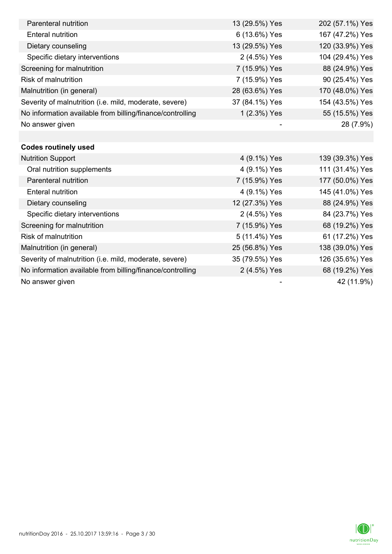| Parenteral nutrition                                      | 13 (29.5%) Yes | 202 (57.1%) Yes |
|-----------------------------------------------------------|----------------|-----------------|
| <b>Enteral nutrition</b>                                  | 6 (13.6%) Yes  | 167 (47.2%) Yes |
| Dietary counseling                                        | 13 (29.5%) Yes | 120 (33.9%) Yes |
| Specific dietary interventions                            | 2 (4.5%) Yes   | 104 (29.4%) Yes |
| Screening for malnutrition                                | 7 (15.9%) Yes  | 88 (24.9%) Yes  |
| <b>Risk of malnutrition</b>                               | 7 (15.9%) Yes  | 90 (25.4%) Yes  |
| Malnutrition (in general)                                 | 28 (63.6%) Yes | 170 (48.0%) Yes |
| Severity of malnutrition (i.e. mild, moderate, severe)    | 37 (84.1%) Yes | 154 (43.5%) Yes |
| No information available from billing/finance/controlling | 1 (2.3%) Yes   | 55 (15.5%) Yes  |
| No answer given                                           |                | 28 (7.9%)       |
|                                                           |                |                 |
| <b>Codes routinely used</b>                               |                |                 |
| <b>Nutrition Support</b>                                  | 4 (9.1%) Yes   | 139 (39.3%) Yes |
| Oral nutrition supplements                                | 4 (9.1%) Yes   | 111 (31.4%) Yes |
| Parenteral nutrition                                      | 7 (15.9%) Yes  | 177 (50.0%) Yes |
| <b>Enteral nutrition</b>                                  | 4 (9.1%) Yes   | 145 (41.0%) Yes |
| Dietary counseling                                        | 12 (27.3%) Yes | 88 (24.9%) Yes  |
| Specific dietary interventions                            | 2 (4.5%) Yes   | 84 (23.7%) Yes  |
| Screening for malnutrition                                | 7 (15.9%) Yes  | 68 (19.2%) Yes  |
| <b>Risk of malnutrition</b>                               | 5 (11.4%) Yes  | 61 (17.2%) Yes  |
| Malnutrition (in general)                                 | 25 (56.8%) Yes | 138 (39.0%) Yes |
| Severity of malnutrition (i.e. mild, moderate, severe)    | 35 (79.5%) Yes | 126 (35.6%) Yes |
| No information available from billing/finance/controlling | 2 (4.5%) Yes   | 68 (19.2%) Yes  |
| No answer given                                           |                | 42 (11.9%)      |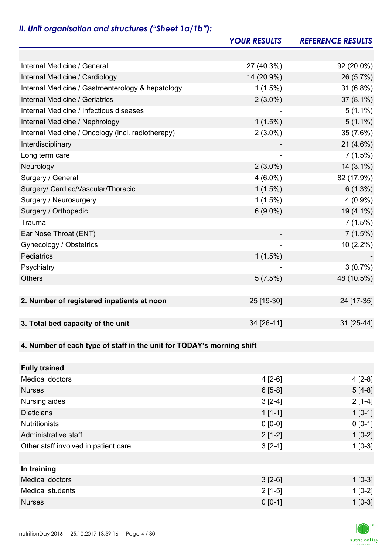# *II. Unit organisation and structures ("Sheet 1a/1b"):*

|                                                                       | <b>YOUR RESULTS</b> | <b>REFERENCE RESULTS</b> |
|-----------------------------------------------------------------------|---------------------|--------------------------|
|                                                                       |                     |                          |
| Internal Medicine / General                                           | 27 (40.3%)          | 92 (20.0%)               |
| Internal Medicine / Cardiology                                        | 14 (20.9%)          | 26 (5.7%)                |
| Internal Medicine / Gastroenterology & hepatology                     | 1(1.5%)             | 31 (6.8%)                |
| Internal Medicine / Geriatrics                                        | $2(3.0\%)$          | 37 (8.1%)                |
| Internal Medicine / Infectious diseases                               |                     | $5(1.1\%)$               |
| Internal Medicine / Nephrology                                        | $1(1.5\%)$          | $5(1.1\%)$               |
| Internal Medicine / Oncology (incl. radiotherapy)                     | $2(3.0\%)$          | 35 (7.6%)                |
| Interdisciplinary                                                     |                     | $21(4.6\%)$              |
| Long term care                                                        |                     | 7(1.5%)                  |
| Neurology                                                             | $2(3.0\%)$          | $14(3.1\%)$              |
| Surgery / General                                                     | $4(6.0\%)$          | 82 (17.9%)               |
| Surgery/ Cardiac/Vascular/Thoracic                                    | $1(1.5\%)$          | $6(1.3\%)$               |
| Surgery / Neurosurgery                                                | $1(1.5\%)$          | $4(0.9\%)$               |
| Surgery / Orthopedic                                                  | $6(9.0\%)$          | 19 (4.1%)                |
| Trauma                                                                |                     | 7(1.5%)                  |
| Ear Nose Throat (ENT)                                                 |                     | 7(1.5%)                  |
| Gynecology / Obstetrics                                               |                     | 10 (2.2%)                |
| Pediatrics                                                            | $1(1.5\%)$          |                          |
| Psychiatry                                                            |                     | $3(0.7\%)$               |
| <b>Others</b>                                                         | 5(7.5%)             | 48 (10.5%)               |
|                                                                       |                     |                          |
| 2. Number of registered inpatients at noon                            | 25 [19-30]          | 24 [17-35]               |
|                                                                       |                     |                          |
| 3. Total bed capacity of the unit                                     | 34 [26-41]          | 31 [25-44]               |
|                                                                       |                     |                          |
| 4. Number of each type of staff in the unit for TODAY's morning shift |                     |                          |
|                                                                       |                     |                          |
| <b>Fully trained</b>                                                  |                     |                          |
| <b>Medical doctors</b>                                                | $4[2-6]$            | $4[2-8]$                 |
| <b>Nurses</b>                                                         | $6[5-8]$            | $5[4-8]$                 |
| Nursing aides                                                         | $3[2-4]$            | $2[1-4]$                 |
| <b>Dieticians</b>                                                     | $1[1-1]$            | $1 [0-1]$                |
| <b>Nutritionists</b>                                                  | $0 [0-0]$           | $0 [0-1]$                |
| Administrative staff                                                  | $2[1-2]$            | $1[0-2]$                 |
| Other staff involved in patient care                                  | $3[2-4]$            | $1[0-3]$                 |
|                                                                       |                     |                          |
| In training                                                           |                     |                          |
| <b>Medical doctors</b>                                                | $3[2-6]$            | $1 [0-3]$                |
| <b>Medical students</b>                                               | $2[1-5]$            | $1[0-2]$                 |
| <b>Nurses</b>                                                         | $0 [0-1]$           | $1 [0-3]$                |

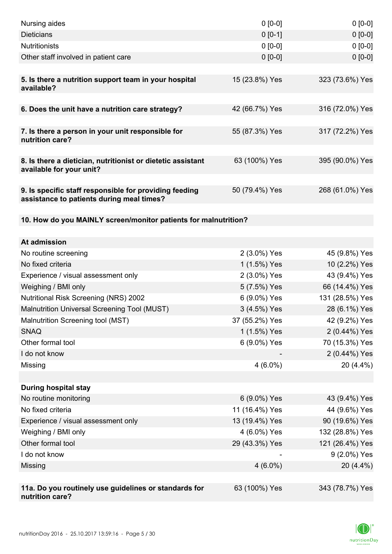| Nursing aides                                                                                       | $0 [0-0]$      | $0[0-0]$        |
|-----------------------------------------------------------------------------------------------------|----------------|-----------------|
| <b>Dieticians</b>                                                                                   | $0[0-1]$       | $0 [0-0]$       |
| <b>Nutritionists</b>                                                                                | $0 [0-0]$      | $0[0-0]$        |
| Other staff involved in patient care                                                                | $0 [0-0]$      | $0 [0-0]$       |
|                                                                                                     |                |                 |
| 5. Is there a nutrition support team in your hospital<br>available?                                 | 15 (23.8%) Yes | 323 (73.6%) Yes |
| 6. Does the unit have a nutrition care strategy?                                                    | 42 (66.7%) Yes | 316 (72.0%) Yes |
| 7. Is there a person in your unit responsible for<br>nutrition care?                                | 55 (87.3%) Yes | 317 (72.2%) Yes |
| 8. Is there a dietician, nutritionist or dietetic assistant<br>available for your unit?             | 63 (100%) Yes  | 395 (90.0%) Yes |
| 9. Is specific staff responsible for providing feeding<br>assistance to patients during meal times? | 50 (79.4%) Yes | 268 (61.0%) Yes |
| 10. How do you MAINLY screen/monitor patients for malnutrition?                                     |                |                 |
|                                                                                                     |                |                 |
| At admission                                                                                        |                |                 |
| No routine screening                                                                                | 2 (3.0%) Yes   | 45 (9.8%) Yes   |
| No fixed criteria                                                                                   | 1 (1.5%) Yes   | 10 (2.2%) Yes   |
| Experience / visual assessment only                                                                 | 2 (3.0%) Yes   | 43 (9.4%) Yes   |
| Weighing / BMI only                                                                                 | 5 (7.5%) Yes   | 66 (14.4%) Yes  |
| <b>Nutritional Risk Screening (NRS) 2002</b>                                                        | 6 (9.0%) Yes   | 131 (28.5%) Yes |
| Malnutrition Universal Screening Tool (MUST)                                                        | 3 (4.5%) Yes   | 28 (6.1%) Yes   |
| Malnutrition Screening tool (MST)                                                                   | 37 (55.2%) Yes | 42 (9.2%) Yes   |
| <b>SNAQ</b>                                                                                         | 1 (1.5%) Yes   | 2 (0.44%) Yes   |
| Other formal tool                                                                                   | 6 (9.0%) Yes   | 70 (15.3%) Yes  |
| I do not know                                                                                       |                | 2 (0.44%) Yes   |
| Missing                                                                                             | $4(6.0\%)$     | 20 (4.4%)       |
|                                                                                                     |                |                 |
| <b>During hospital stay</b>                                                                         |                |                 |
| No routine monitoring                                                                               | 6 (9.0%) Yes   | 43 (9.4%) Yes   |
| No fixed criteria                                                                                   | 11 (16.4%) Yes | 44 (9.6%) Yes   |
| Experience / visual assessment only                                                                 | 13 (19.4%) Yes | 90 (19.6%) Yes  |
| Weighing / BMI only                                                                                 | 4 (6.0%) Yes   | 132 (28.8%) Yes |
| Other formal tool                                                                                   | 29 (43.3%) Yes | 121 (26.4%) Yes |
| I do not know                                                                                       |                | 9 (2.0%) Yes    |
| Missing                                                                                             | $4(6.0\%)$     | 20 (4.4%)       |
|                                                                                                     |                |                 |
| 11a. Do you routinely use guidelines or standards for<br>nutrition care?                            | 63 (100%) Yes  | 343 (78.7%) Yes |

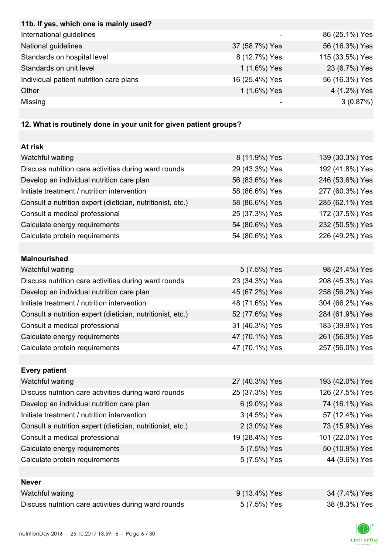| 11b. If yes, which one is mainly used?                            |                |                 |
|-------------------------------------------------------------------|----------------|-----------------|
| International guidelines                                          |                | 86 (25.1%) Yes  |
| National guidelines                                               | 37 (58.7%) Yes | 56 (16.3%) Yes  |
| Standards on hospital level                                       | 8 (12.7%) Yes  | 115 (33.5%) Yes |
| Standards on unit level                                           | 1 (1.6%) Yes   | 23 (6.7%) Yes   |
| Individual patient nutrition care plans                           | 16 (25.4%) Yes | 56 (16.3%) Yes  |
| Other                                                             | 1 (1.6%) Yes   | 4 (1.2%) Yes    |
| Missing                                                           |                | 3(0.87%)        |
|                                                                   |                |                 |
| 12. What is routinely done in your unit for given patient groups? |                |                 |
|                                                                   |                |                 |
| At risk                                                           |                |                 |
| Watchful waiting                                                  | 8 (11.9%) Yes  | 139 (30.3%) Yes |
| Discuss nutrition care activities during ward rounds              | 29 (43.3%) Yes | 192 (41.8%) Yes |
| Develop an individual nutrition care plan                         | 56 (83.6%) Yes | 246 (53.6%) Yes |
| Initiate treatment / nutrition intervention                       | 58 (86.6%) Yes | 277 (60.3%) Yes |
| Consult a nutrition expert (dietician, nutritionist, etc.)        | 58 (86.6%) Yes | 285 (62.1%) Yes |
| Consult a medical professional                                    | 25 (37.3%) Yes | 172 (37.5%) Yes |
| Calculate energy requirements                                     | 54 (80.6%) Yes | 232 (50.5%) Yes |
| Calculate protein requirements                                    | 54 (80.6%) Yes | 226 (49.2%) Yes |
|                                                                   |                |                 |
| <b>Malnourished</b>                                               |                |                 |
| Watchful waiting                                                  | 5 (7.5%) Yes   | 98 (21.4%) Yes  |
| Discuss nutrition care activities during ward rounds              | 23 (34.3%) Yes | 208 (45.3%) Yes |
| Develop an individual nutrition care plan                         | 45 (67.2%) Yes | 258 (56.2%) Yes |
| Initiate treatment / nutrition intervention                       | 48 (71.6%) Yes | 304 (66.2%) Yes |
| Consult a nutrition expert (dietician, nutritionist, etc.)        | 52 (77.6%) Yes | 284 (61.9%) Yes |
| Consult a medical professional                                    | 31 (46.3%) Yes | 183 (39.9%) Yes |
| Calculate energy requirements                                     | 47 (70.1%) Yes | 261 (56.9%) Yes |
| Calculate protein requirements                                    | 47 (70.1%) Yes | 257 (56.0%) Yes |
|                                                                   |                |                 |
| <b>Every patient</b>                                              |                |                 |
| Watchful waiting                                                  | 27 (40.3%) Yes | 193 (42.0%) Yes |
| Discuss nutrition care activities during ward rounds              | 25 (37.3%) Yes | 126 (27.5%) Yes |
| Develop an individual nutrition care plan                         | 6 (9.0%) Yes   | 74 (16.1%) Yes  |
| Initiate treatment / nutrition intervention                       | 3 (4.5%) Yes   | 57 (12.4%) Yes  |
| Consult a nutrition expert (dietician, nutritionist, etc.)        | 2 (3.0%) Yes   | 73 (15.9%) Yes  |
| Consult a medical professional                                    | 19 (28.4%) Yes | 101 (22.0%) Yes |
| Calculate energy requirements                                     | 5 (7.5%) Yes   | 50 (10.9%) Yes  |
| Calculate protein requirements                                    | 5 (7.5%) Yes   | 44 (9.6%) Yes   |
|                                                                   |                |                 |
| <b>Never</b>                                                      |                |                 |
| Watchful waiting                                                  | 9 (13.4%) Yes  | 34 (7.4%) Yes   |
| Discuss nutrition care activities during ward rounds              | 5 (7.5%) Yes   | 38 (8.3%) Yes   |

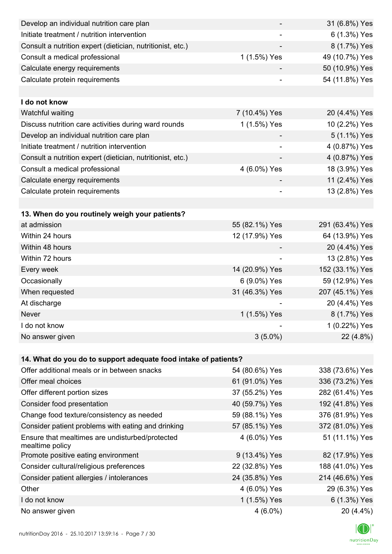| Develop an individual nutrition care plan                          |                | 31 (6.8%) Yes   |
|--------------------------------------------------------------------|----------------|-----------------|
| Initiate treatment / nutrition intervention                        |                | 6 (1.3%) Yes    |
| Consult a nutrition expert (dietician, nutritionist, etc.)         |                | 8 (1.7%) Yes    |
| Consult a medical professional                                     | 1 (1.5%) Yes   | 49 (10.7%) Yes  |
| Calculate energy requirements                                      |                | 50 (10.9%) Yes  |
| Calculate protein requirements                                     |                | 54 (11.8%) Yes  |
|                                                                    |                |                 |
| I do not know                                                      |                |                 |
| Watchful waiting                                                   | 7 (10.4%) Yes  | 20 (4.4%) Yes   |
| Discuss nutrition care activities during ward rounds               | 1 (1.5%) Yes   | 10 (2.2%) Yes   |
| Develop an individual nutrition care plan                          |                | 5 (1.1%) Yes    |
| Initiate treatment / nutrition intervention                        |                | 4 (0.87%) Yes   |
| Consult a nutrition expert (dietician, nutritionist, etc.)         |                | 4 (0.87%) Yes   |
| Consult a medical professional                                     | 4 (6.0%) Yes   | 18 (3.9%) Yes   |
| Calculate energy requirements                                      |                | 11 (2.4%) Yes   |
| Calculate protein requirements                                     | $\overline{a}$ | 13 (2.8%) Yes   |
|                                                                    |                |                 |
| 13. When do you routinely weigh your patients?                     |                |                 |
| at admission                                                       | 55 (82.1%) Yes | 291 (63.4%) Yes |
| Within 24 hours                                                    | 12 (17.9%) Yes | 64 (13.9%) Yes  |
| Within 48 hours                                                    |                | 20 (4.4%) Yes   |
| Within 72 hours                                                    | ۰              | 13 (2.8%) Yes   |
| Every week                                                         | 14 (20.9%) Yes | 152 (33.1%) Yes |
| Occasionally                                                       | 6 (9.0%) Yes   | 59 (12.9%) Yes  |
| When requested                                                     | 31 (46.3%) Yes | 207 (45.1%) Yes |
| At discharge                                                       |                | 20 (4.4%) Yes   |
| Never                                                              | 1 (1.5%) Yes   | 8 (1.7%) Yes    |
| I do not know                                                      |                | 1 (0.22%) Yes   |
| No answer given                                                    | $3(5.0\%)$     | 22 (4.8%)       |
|                                                                    |                |                 |
| 14. What do you do to support adequate food intake of patients?    |                |                 |
| Offer additional meals or in between snacks                        | 54 (80.6%) Yes | 338 (73.6%) Yes |
| Offer meal choices                                                 | 61 (91.0%) Yes | 336 (73.2%) Yes |
| Offer different portion sizes                                      | 37 (55.2%) Yes | 282 (61.4%) Yes |
| Consider food presentation                                         | 40 (59.7%) Yes | 192 (41.8%) Yes |
| Change food texture/consistency as needed                          | 59 (88.1%) Yes | 376 (81.9%) Yes |
| Consider patient problems with eating and drinking                 | 57 (85.1%) Yes | 372 (81.0%) Yes |
| Ensure that mealtimes are undisturbed/protected<br>mealtime policy | 4 (6.0%) Yes   | 51 (11.1%) Yes  |
| Promote positive eating environment                                | 9 (13.4%) Yes  | 82 (17.9%) Yes  |
| Consider cultural/religious preferences                            | 22 (32.8%) Yes | 188 (41.0%) Yes |
| Consider patient allergies / intolerances                          | 24 (35.8%) Yes | 214 (46.6%) Yes |
| Other                                                              | 4 (6.0%) Yes   | 29 (6.3%) Yes   |
| I do not know                                                      | 1 (1.5%) Yes   | 6 (1.3%) Yes    |
| No answer given                                                    | $4(6.0\%)$     | 20 (4.4%)       |

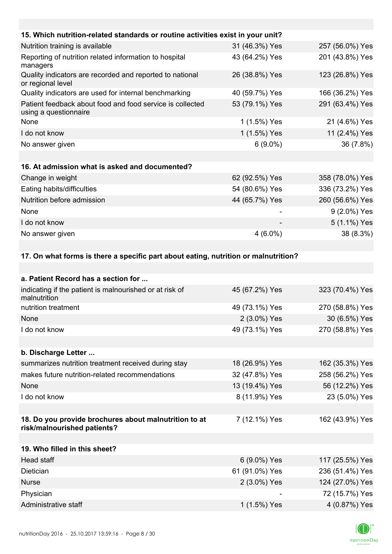| 15. Which nutrition-related standards or routine activities exist in your unit?    |                |                 |
|------------------------------------------------------------------------------------|----------------|-----------------|
| Nutrition training is available                                                    | 31 (46.3%) Yes | 257 (56.0%) Yes |
| Reporting of nutrition related information to hospital<br>managers                 | 43 (64.2%) Yes | 201 (43.8%) Yes |
| Quality indicators are recorded and reported to national<br>or regional level      | 26 (38.8%) Yes | 123 (26.8%) Yes |
| Quality indicators are used for internal benchmarking                              | 40 (59.7%) Yes | 166 (36.2%) Yes |
| Patient feedback about food and food service is collected<br>using a questionnaire | 53 (79.1%) Yes | 291 (63.4%) Yes |
| None                                                                               | 1 (1.5%) Yes   | 21 (4.6%) Yes   |
| I do not know                                                                      | 1 (1.5%) Yes   | 11 (2.4%) Yes   |
| No answer given                                                                    | $6(9.0\%)$     | 36 (7.8%)       |
|                                                                                    |                |                 |
| 16. At admission what is asked and documented?                                     |                |                 |
| Change in weight                                                                   | 62 (92.5%) Yes | 358 (78.0%) Yes |
| Eating habits/difficulties                                                         | 54 (80.6%) Yes | 336 (73.2%) Yes |
| Nutrition before admission                                                         | 44 (65.7%) Yes | 260 (56.6%) Yes |
| None                                                                               |                | 9 (2.0%) Yes    |
| I do not know                                                                      |                | 5 (1.1%) Yes    |
| No answer given                                                                    | $4(6.0\%)$     | 38 (8.3%)       |
|                                                                                    |                |                 |

### **17. On what forms is there a specific part about eating, nutrition or malnutrition?**

| a. Patient Record has a section for                                                  |                |                 |
|--------------------------------------------------------------------------------------|----------------|-----------------|
| indicating if the patient is malnourished or at risk of<br>malnutrition              | 45 (67.2%) Yes | 323 (70.4%) Yes |
| nutrition treatment                                                                  | 49 (73.1%) Yes | 270 (58.8%) Yes |
| None                                                                                 | 2 (3.0%) Yes   | 30 (6.5%) Yes   |
| I do not know                                                                        | 49 (73.1%) Yes | 270 (58.8%) Yes |
|                                                                                      |                |                 |
| b. Discharge Letter                                                                  |                |                 |
| summarizes nutrition treatment received during stay                                  | 18 (26.9%) Yes | 162 (35.3%) Yes |
| makes future nutrition-related recommendations                                       | 32 (47.8%) Yes | 258 (56.2%) Yes |
| None                                                                                 | 13 (19.4%) Yes | 56 (12.2%) Yes  |
| I do not know                                                                        | 8 (11.9%) Yes  | 23 (5.0%) Yes   |
|                                                                                      |                |                 |
| 18. Do you provide brochures about malnutrition to at<br>risk/malnourished patients? | 7 (12.1%) Yes  | 162 (43.9%) Yes |
|                                                                                      |                |                 |
| 19. Who filled in this sheet?                                                        |                |                 |
| Head staff                                                                           | 6 (9.0%) Yes   | 117 (25.5%) Yes |
| Dietician                                                                            | 61 (91.0%) Yes | 236 (51.4%) Yes |
| <b>Nurse</b>                                                                         | 2 (3.0%) Yes   | 124 (27.0%) Yes |
| Physician                                                                            |                | 72 (15.7%) Yes  |
| Administrative staff                                                                 | 1 (1.5%) Yes   | 4 (0.87%) Yes   |
|                                                                                      |                |                 |

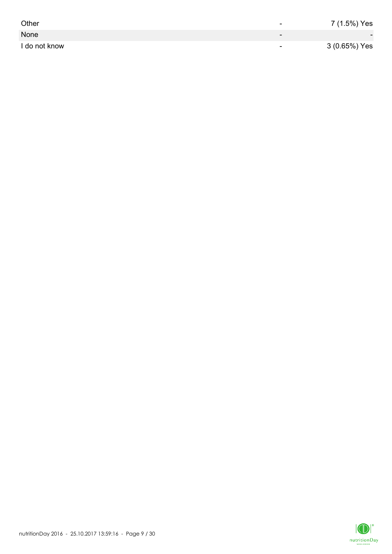| Other         | -                        | 7 (1.5%) Yes             |
|---------------|--------------------------|--------------------------|
| None          | $\overline{\phantom{0}}$ | $\overline{\phantom{0}}$ |
| I do not know | $\overline{\phantom{0}}$ | 3 (0.65%) Yes            |

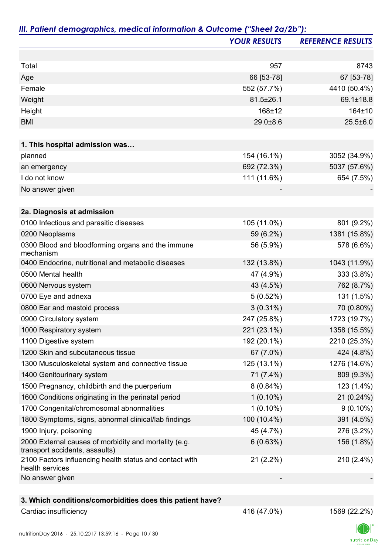|                                                                                         | <b>YOUR RESULTS</b> | <b>REFERENCE RESULTS</b> |
|-----------------------------------------------------------------------------------------|---------------------|--------------------------|
|                                                                                         |                     |                          |
| Total                                                                                   | 957                 | 8743                     |
| Age                                                                                     | 66 [53-78]          | 67 [53-78]               |
| Female                                                                                  | 552 (57.7%)         | 4410 (50.4%)             |
| Weight                                                                                  | 81.5±26.1           | 69.1±18.8                |
| Height                                                                                  | 168±12              | 164±10                   |
| <b>BMI</b>                                                                              | $29.0 + 8.6$        | $25.5 \pm 6.0$           |
| 1. This hospital admission was                                                          |                     |                          |
| planned                                                                                 | 154 (16.1%)         | 3052 (34.9%)             |
| an emergency                                                                            | 692 (72.3%)         | 5037 (57.6%)             |
| I do not know                                                                           | 111 (11.6%)         | 654 (7.5%)               |
| No answer given                                                                         |                     |                          |
|                                                                                         |                     |                          |
| 2a. Diagnosis at admission                                                              |                     |                          |
| 0100 Infectious and parasitic diseases                                                  | 105 (11.0%)         | 801 (9.2%)               |
| 0200 Neoplasms                                                                          | 59 (6.2%)           | 1381 (15.8%)             |
| 0300 Blood and bloodforming organs and the immune<br>mechanism                          | 56 (5.9%)           | 578 (6.6%)               |
| 0400 Endocrine, nutritional and metabolic diseases                                      | 132 (13.8%)         | 1043 (11.9%)             |
| 0500 Mental health                                                                      | 47 (4.9%)           | 333 (3.8%)               |
| 0600 Nervous system                                                                     | 43 (4.5%)           | 762 (8.7%)               |
| 0700 Eye and adnexa                                                                     | 5(0.52%)            | 131 (1.5%)               |
| 0800 Ear and mastoid process                                                            | $3(0.31\%)$         | 70 (0.80%)               |
| 0900 Circulatory system                                                                 | 247 (25.8%)         | 1723 (19.7%)             |
| 1000 Respiratory system                                                                 | 221 (23.1%)         | 1358 (15.5%)             |
| 1100 Digestive system                                                                   | 192 (20.1%)         | 2210 (25.3%)             |
| 1200 Skin and subcutaneous tissue                                                       | 67 (7.0%)           | 424 (4.8%)               |
| 1300 Musculoskeletal system and connective tissue                                       | 125 (13.1%)         | 1276 (14.6%)             |
| 1400 Genitourinary system                                                               | 71 (7.4%)           | 809 (9.3%)               |
| 1500 Pregnancy, childbirth and the puerperium                                           | $8(0.84\%)$         | 123 (1.4%)               |
| 1600 Conditions originating in the perinatal period                                     | $1(0.10\%)$         | 21 (0.24%)               |
| 1700 Congenital/chromosomal abnormalities                                               | $1(0.10\%)$         | $9(0.10\%)$              |
| 1800 Symptoms, signs, abnormal clinical/lab findings                                    | 100 (10.4%)         | 391 (4.5%)               |
| 1900 Injury, poisoning                                                                  | 45 (4.7%)           | 276 (3.2%)               |
| 2000 External causes of morbidity and mortality (e.g.<br>transport accidents, assaults) | 6(0.63%)            | 156 (1.8%)               |
| 2100 Factors influencing health status and contact with<br>health services              | $21(2.2\%)$         | 210 (2.4%)               |
| No answer given                                                                         |                     |                          |
|                                                                                         |                     |                          |
| 3. Which conditions/comorbidities does this patient have?                               |                     |                          |
| Cardiac insufficiency                                                                   | 416 (47.0%)         | 1569 (22.2%)             |

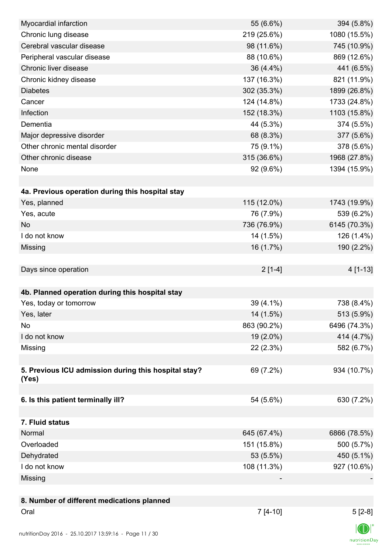| Myocardial infarction                                | 55 (6.6%)   | 394 (5.8%)   |
|------------------------------------------------------|-------------|--------------|
| Chronic lung disease                                 | 219 (25.6%) | 1080 (15.5%) |
| Cerebral vascular disease                            | 98 (11.6%)  | 745 (10.9%)  |
| Peripheral vascular disease                          | 88 (10.6%)  | 869 (12.6%)  |
| Chronic liver disease                                | 36 (4.4%)   | 441 (6.5%)   |
| Chronic kidney disease                               | 137 (16.3%) | 821 (11.9%)  |
| <b>Diabetes</b>                                      | 302 (35.3%) | 1899 (26.8%) |
| Cancer                                               | 124 (14.8%) | 1733 (24.8%) |
| Infection                                            | 152 (18.3%) | 1103 (15.8%) |
| Dementia                                             | 44 (5.3%)   | 374 (5.5%)   |
| Major depressive disorder                            | 68 (8.3%)   | 377 (5.6%)   |
| Other chronic mental disorder                        | 75 (9.1%)   | 378 (5.6%)   |
| Other chronic disease                                | 315 (36.6%) | 1968 (27.8%) |
| None                                                 | 92 (9.6%)   | 1394 (15.9%) |
|                                                      |             |              |
| 4a. Previous operation during this hospital stay     |             |              |
| Yes, planned                                         | 115 (12.0%) | 1743 (19.9%) |
| Yes, acute                                           | 76 (7.9%)   | 539 (6.2%)   |
| <b>No</b>                                            | 736 (76.9%) | 6145 (70.3%) |
| I do not know                                        | 14 (1.5%)   | 126 (1.4%)   |
| Missing                                              | 16 (1.7%)   | 190 (2.2%)   |
|                                                      |             |              |
| Days since operation                                 | $2[1-4]$    | 4 [1-13]     |
|                                                      |             |              |
| 4b. Planned operation during this hospital stay      |             |              |
| Yes, today or tomorrow                               | 39 (4.1%)   | 738 (8.4%)   |
| Yes, later                                           | 14 (1.5%)   | 513 (5.9%)   |
| No                                                   | 863 (90.2%) | 6496 (74.3%) |
| I do not know                                        | 19 (2.0%)   | 414 (4.7%)   |
| Missing                                              | 22 (2.3%)   | 582 (6.7%)   |
|                                                      |             |              |
| 5. Previous ICU admission during this hospital stay? | 69 (7.2%)   | 934 (10.7%)  |
| (Yes)                                                |             |              |
|                                                      |             |              |
| 6. Is this patient terminally ill?                   | 54 (5.6%)   | 630 (7.2%)   |
|                                                      |             |              |
| 7. Fluid status                                      |             |              |
| Normal                                               | 645 (67.4%) | 6866 (78.5%) |
| Overloaded                                           | 151 (15.8%) | 500 (5.7%)   |
| Dehydrated                                           | 53 (5.5%)   | 450 (5.1%)   |
| I do not know                                        | 108 (11.3%) | 927 (10.6%)  |
| Missing                                              |             |              |
|                                                      |             |              |
| 8. Number of different medications planned           |             |              |
| Oral                                                 | $7[4-10]$   | $5[2-8]$     |
|                                                      |             | $\sqrt{N}$   |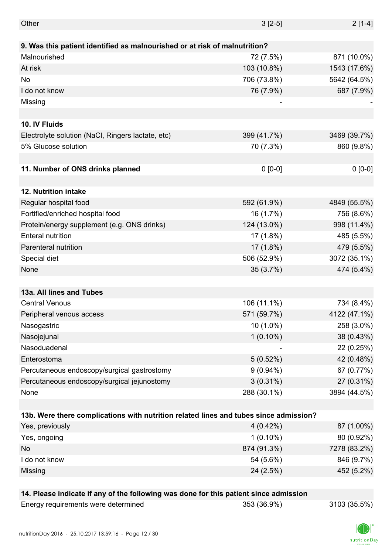| Other                                                                                 | $3[2-5]$    | $2[1-4]$     |
|---------------------------------------------------------------------------------------|-------------|--------------|
|                                                                                       |             |              |
| 9. Was this patient identified as malnourished or at risk of malnutrition?            |             |              |
| Malnourished                                                                          | 72 (7.5%)   | 871 (10.0%)  |
| At risk                                                                               | 103 (10.8%) | 1543 (17.6%) |
| No                                                                                    | 706 (73.8%) | 5642 (64.5%) |
| I do not know                                                                         | 76 (7.9%)   | 687 (7.9%)   |
| Missing                                                                               |             |              |
|                                                                                       |             |              |
| 10. IV Fluids                                                                         |             |              |
| Electrolyte solution (NaCl, Ringers lactate, etc)                                     | 399 (41.7%) | 3469 (39.7%) |
| 5% Glucose solution                                                                   | 70 (7.3%)   | 860 (9.8%)   |
|                                                                                       |             |              |
| 11. Number of ONS drinks planned                                                      | $0 [0-0]$   | $0 [0-0]$    |
|                                                                                       |             |              |
| 12. Nutrition intake                                                                  |             |              |
| Regular hospital food                                                                 | 592 (61.9%) | 4849 (55.5%) |
| Fortified/enriched hospital food                                                      | 16 (1.7%)   | 756 (8.6%)   |
| Protein/energy supplement (e.g. ONS drinks)                                           | 124 (13.0%) | 998 (11.4%)  |
| <b>Enteral nutrition</b>                                                              | 17(1.8%)    | 485 (5.5%)   |
| Parenteral nutrition                                                                  | $17(1.8\%)$ | 479 (5.5%)   |
| Special diet                                                                          | 506 (52.9%) | 3072 (35.1%) |
| None                                                                                  | 35(3.7%)    | 474 (5.4%)   |
|                                                                                       |             |              |
| 13a. All lines and Tubes                                                              |             |              |
| <b>Central Venous</b>                                                                 | 106 (11.1%) | 734 (8.4%)   |
| Peripheral venous access                                                              | 571 (59.7%) | 4122 (47.1%) |
| Nasogastric                                                                           | $10(1.0\%)$ | 258 (3.0%)   |
| Nasojejunal                                                                           | $1(0.10\%)$ | 38 (0.43%)   |
| Nasoduadenal                                                                          |             | 22 (0.25%)   |
| Enterostoma                                                                           | 5(0.52%)    | 42 (0.48%)   |
| Percutaneous endoscopy/surgical gastrostomy                                           | $9(0.94\%)$ | 67 (0.77%)   |
| Percutaneous endoscopy/surgical jejunostomy                                           | $3(0.31\%)$ | 27 (0.31%)   |
| None                                                                                  | 288 (30.1%) | 3894 (44.5%) |
|                                                                                       |             |              |
| 13b. Were there complications with nutrition related lines and tubes since admission? |             |              |
| Yes, previously                                                                       | $4(0.42\%)$ | 87 (1.00%)   |
| Yes, ongoing                                                                          | $1(0.10\%)$ | 80 (0.92%)   |
| No                                                                                    | 874 (91.3%) | 7278 (83.2%) |
| I do not know                                                                         | 54 (5.6%)   | 846 (9.7%)   |
| Missing                                                                               | 24 (2.5%)   | 452 (5.2%)   |
|                                                                                       |             |              |
| 14. Please indicate if any of the following was done for this patient since admission |             |              |
| Energy requirements were determined                                                   | 353 (36.9%) | 3103 (35.5%) |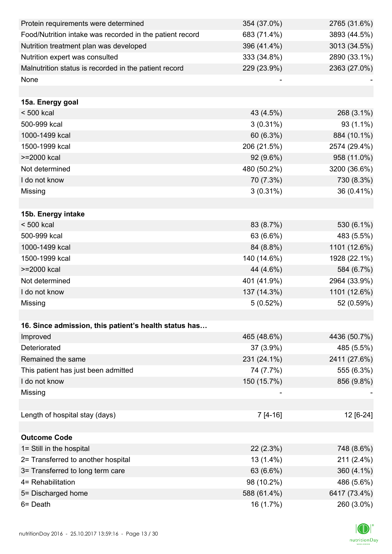| Protein requirements were determined                     | 354 (37.0%) | 2765 (31.6%) |
|----------------------------------------------------------|-------------|--------------|
| Food/Nutrition intake was recorded in the patient record | 683 (71.4%) | 3893 (44.5%) |
| Nutrition treatment plan was developed                   | 396 (41.4%) | 3013 (34.5%) |
| Nutrition expert was consulted                           | 333 (34.8%) | 2890 (33.1%) |
| Malnutrition status is recorded in the patient record    | 229 (23.9%) | 2363 (27.0%) |
| None                                                     |             |              |
|                                                          |             |              |
| 15a. Energy goal                                         |             |              |
| < 500 kcal                                               | 43 (4.5%)   | 268 (3.1%)   |
| 500-999 kcal                                             | $3(0.31\%)$ | 93 (1.1%)    |
| 1000-1499 kcal                                           | 60 (6.3%)   | 884 (10.1%)  |
| 1500-1999 kcal                                           | 206 (21.5%) | 2574 (29.4%) |
| >=2000 kcal                                              | 92 (9.6%)   | 958 (11.0%)  |
| Not determined                                           | 480 (50.2%) | 3200 (36.6%) |
| I do not know                                            | 70 (7.3%)   | 730 (8.3%)   |
| Missing                                                  | $3(0.31\%)$ | 36 (0.41%)   |
|                                                          |             |              |
| 15b. Energy intake                                       |             |              |
| $< 500$ kcal                                             | 83 (8.7%)   | 530 (6.1%)   |
| 500-999 kcal                                             | 63 (6.6%)   | 483 (5.5%)   |
| 1000-1499 kcal                                           | 84 (8.8%)   | 1101 (12.6%) |
| 1500-1999 kcal                                           | 140 (14.6%) | 1928 (22.1%) |
| >=2000 kcal                                              | 44 (4.6%)   | 584 (6.7%)   |
| Not determined                                           | 401 (41.9%) | 2964 (33.9%) |
| I do not know                                            | 137 (14.3%) | 1101 (12.6%) |
| Missing                                                  | 5(0.52%)    | 52 (0.59%)   |
|                                                          |             |              |
| 16. Since admission, this patient's health status has    |             |              |
| Improved                                                 | 465 (48.6%) | 4436 (50.7%) |
| Deteriorated                                             | 37 (3.9%)   | 485 (5.5%)   |
| Remained the same                                        | 231 (24.1%) | 2411 (27.6%) |
| This patient has just been admitted                      | 74 (7.7%)   | 555 (6.3%)   |
| I do not know                                            | 150 (15.7%) | 856 (9.8%)   |
| Missing                                                  |             |              |
|                                                          |             |              |
| Length of hospital stay (days)                           | 7 [4-16]    | 12 [6-24]    |
|                                                          |             |              |
| <b>Outcome Code</b>                                      |             |              |
| 1= Still in the hospital                                 | 22(2.3%)    | 748 (8.6%)   |
| 2= Transferred to another hospital                       | 13 (1.4%)   | 211 (2.4%)   |
| 3= Transferred to long term care                         | 63 (6.6%)   | 360 (4.1%)   |
| 4= Rehabilitation                                        | 98 (10.2%)  | 486 (5.6%)   |
| 5= Discharged home                                       | 588 (61.4%) | 6417 (73.4%) |
| $6 = Death$                                              | 16 (1.7%)   | 260 (3.0%)   |

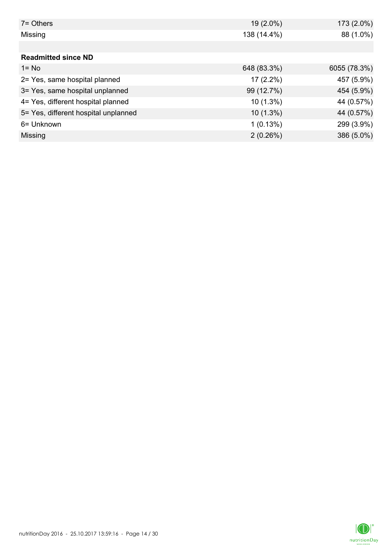| $7 =$ Others                         | 19 (2.0%)   | 173 (2.0%)   |
|--------------------------------------|-------------|--------------|
| Missing                              | 138 (14.4%) | 88 (1.0%)    |
|                                      |             |              |
| <b>Readmitted since ND</b>           |             |              |
| $1 = No$                             | 648 (83.3%) | 6055 (78.3%) |
| 2= Yes, same hospital planned        | $17(2.2\%)$ | 457 (5.9%)   |
| 3= Yes, same hospital unplanned      | 99 (12.7%)  | 454 (5.9%)   |
| 4= Yes, different hospital planned   | $10(1.3\%)$ | 44 (0.57%)   |
| 5= Yes, different hospital unplanned | $10(1.3\%)$ | 44 (0.57%)   |
| 6= Unknown                           | 1(0.13%)    | 299 (3.9%)   |
| Missing                              | 2(0.26%)    | 386 (5.0%)   |

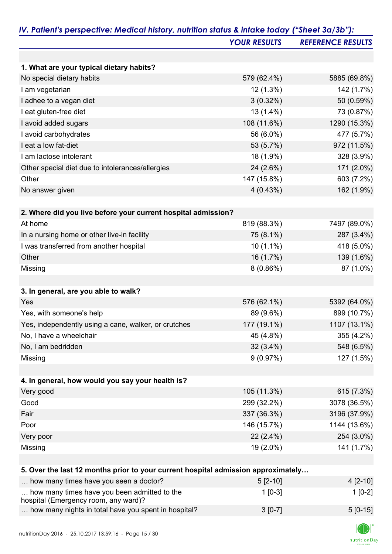|                                                                                      | <b>YOUR RESULTS</b> | <b>REFERENCE RESULTS</b> |
|--------------------------------------------------------------------------------------|---------------------|--------------------------|
|                                                                                      |                     |                          |
| 1. What are your typical dietary habits?                                             |                     |                          |
| No special dietary habits                                                            | 579 (62.4%)         | 5885 (69.8%)             |
| I am vegetarian                                                                      | 12 (1.3%)           | 142 (1.7%)               |
| I adhee to a vegan diet                                                              | $3(0.32\%)$         | 50 (0.59%)               |
| I eat gluten-free diet                                                               | 13 (1.4%)           | 73 (0.87%)               |
| I avoid added sugars                                                                 | 108 (11.6%)         | 1290 (15.3%)             |
| I avoid carbohydrates                                                                | 56 (6.0%)           | 477 (5.7%)               |
| I eat a low fat-diet                                                                 | 53 (5.7%)           | 972 (11.5%)              |
| I am lactose intolerant                                                              | 18 (1.9%)           | 328 (3.9%)               |
| Other special diet due to intolerances/allergies                                     | 24 (2.6%)           | 171 (2.0%)               |
| Other                                                                                | 147 (15.8%)         | 603 (7.2%)               |
| No answer given                                                                      | 4(0.43%)            | 162 (1.9%)               |
| 2. Where did you live before your current hospital admission?                        |                     |                          |
| At home                                                                              | 819 (88.3%)         | 7497 (89.0%)             |
| In a nursing home or other live-in facility                                          | 75 (8.1%)           | 287 (3.4%)               |
| I was transferred from another hospital                                              | 10 (1.1%)           | 418 (5.0%)               |
| Other                                                                                | 16 (1.7%)           | 139 (1.6%)               |
| Missing                                                                              | 8(0.86%)            | 87 (1.0%)                |
| 3. In general, are you able to walk?                                                 |                     |                          |
| Yes                                                                                  | 576 (62.1%)         | 5392 (64.0%)             |
| Yes, with someone's help                                                             | 89 (9.6%)           | 899 (10.7%)              |
| Yes, independently using a cane, walker, or crutches                                 | 177 (19.1%)         | 1107 (13.1%)             |
| No, I have a wheelchair                                                              | 45 (4.8%)           | 355 (4.2%)               |
| No, I am bedridden                                                                   | $32(3.4\%)$         | 548 (6.5%)               |
| Missing                                                                              | 9(0.97%)            | 127 (1.5%)               |
|                                                                                      |                     |                          |
| 4. In general, how would you say your health is?                                     |                     |                          |
| Very good                                                                            | 105 (11.3%)         | 615 (7.3%)               |
| Good                                                                                 | 299 (32.2%)         | 3078 (36.5%)             |
| Fair                                                                                 | 337 (36.3%)         | 3196 (37.9%)             |
| Poor                                                                                 | 146 (15.7%)         | 1144 (13.6%)             |
| Very poor                                                                            | $22(2.4\%)$         | 254 (3.0%)               |
| Missing                                                                              | 19 (2.0%)           | 141 (1.7%)               |
| 5. Over the last 12 months prior to your current hospital admission approximately    |                     |                          |
| how many times have you seen a doctor?                                               | $5[2-10]$           | $4[2-10]$                |
| how many times have you been admitted to the<br>hospital (Emergency room, any ward)? | $1$ [0-3]           | $1[0-2]$                 |

| 100                                                  |           |            |
|------------------------------------------------------|-----------|------------|
| how many nights in total have you spent in hospital? | $3 [0-7]$ | $5 [0-15]$ |

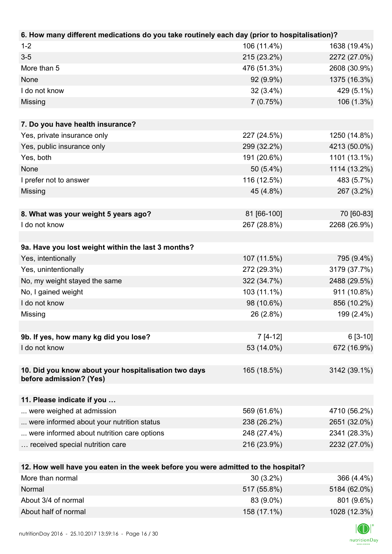| 106 (11.4%)<br>$1 - 2$<br>1638 (19.4%)<br>$3-5$<br>215 (23.2%)<br>2272 (27.0%)<br>More than 5<br>476 (51.3%)<br>2608 (30.9%)<br>1375 (16.3%)<br>None<br>92 (9.9%)<br>I do not know<br>$32(3.4\%)$<br>429 (5.1%)<br>106 (1.3%)<br>Missing<br>7(0.75%) |
|------------------------------------------------------------------------------------------------------------------------------------------------------------------------------------------------------------------------------------------------------|
|                                                                                                                                                                                                                                                      |
|                                                                                                                                                                                                                                                      |
|                                                                                                                                                                                                                                                      |
|                                                                                                                                                                                                                                                      |
|                                                                                                                                                                                                                                                      |
|                                                                                                                                                                                                                                                      |
|                                                                                                                                                                                                                                                      |
| 7. Do you have health insurance?                                                                                                                                                                                                                     |
| 227 (24.5%)<br>1250 (14.8%)<br>Yes, private insurance only                                                                                                                                                                                           |
| 299 (32.2%)<br>4213 (50.0%)<br>Yes, public insurance only                                                                                                                                                                                            |
| 191 (20.6%)<br>1101 (13.1%)<br>Yes, both                                                                                                                                                                                                             |
| 50 (5.4%)<br>1114 (13.2%)<br>None                                                                                                                                                                                                                    |
| 116 (12.5%)<br>483 (5.7%)<br>I prefer not to answer                                                                                                                                                                                                  |
| 267 (3.2%)<br>Missing<br>45 (4.8%)                                                                                                                                                                                                                   |
|                                                                                                                                                                                                                                                      |
| 70 [60-83]<br>8. What was your weight 5 years ago?<br>81 [66-100]                                                                                                                                                                                    |
| 2268 (26.9%)<br>I do not know<br>267 (28.8%)                                                                                                                                                                                                         |
|                                                                                                                                                                                                                                                      |
| 9a. Have you lost weight within the last 3 months?                                                                                                                                                                                                   |
| Yes, intentionally<br>107 (11.5%)<br>795 (9.4%)                                                                                                                                                                                                      |
| 272 (29.3%)<br>Yes, unintentionally<br>3179 (37.7%)                                                                                                                                                                                                  |
| No, my weight stayed the same<br>322 (34.7%)<br>2488 (29.5%)                                                                                                                                                                                         |
| 911 (10.8%)<br>No, I gained weight<br>103 (11.1%)                                                                                                                                                                                                    |
| I do not know<br>98 (10.6%)<br>856 (10.2%)                                                                                                                                                                                                           |
| Missing<br>26 (2.8%)<br>199 (2.4%)                                                                                                                                                                                                                   |
|                                                                                                                                                                                                                                                      |
| 9b. If yes, how many kg did you lose?<br>$7[4-12]$<br>$6[3-10]$                                                                                                                                                                                      |
| I do not know<br>53 (14.0%)<br>672 (16.9%)                                                                                                                                                                                                           |
|                                                                                                                                                                                                                                                      |
| 10. Did you know about your hospitalisation two days<br>165 (18.5%)<br>3142 (39.1%)                                                                                                                                                                  |
| before admission? (Yes)                                                                                                                                                                                                                              |
|                                                                                                                                                                                                                                                      |
| 11. Please indicate if you<br>569 (61.6%)<br>were weighed at admission<br>4710 (56.2%)                                                                                                                                                               |
| were informed about your nutrition status<br>238 (26.2%)<br>2651 (32.0%)                                                                                                                                                                             |
| 248 (27.4%)<br>were informed about nutrition care options<br>2341 (28.3%)                                                                                                                                                                            |
| 216 (23.9%)<br>2232 (27.0%)<br>received special nutrition care                                                                                                                                                                                       |
|                                                                                                                                                                                                                                                      |
| 12. How well have you eaten in the week before you were admitted to the hospital?                                                                                                                                                                    |
| More than normal<br>$30(3.2\%)$<br>366 (4.4%)                                                                                                                                                                                                        |
| 5184 (62.0%)<br>Normal<br>517 (55.8%)                                                                                                                                                                                                                |
| About 3/4 of normal<br>83 (9.0%)<br>801 (9.6%)                                                                                                                                                                                                       |

About half of normal 158 (17.1%) 1028 (12.3%)

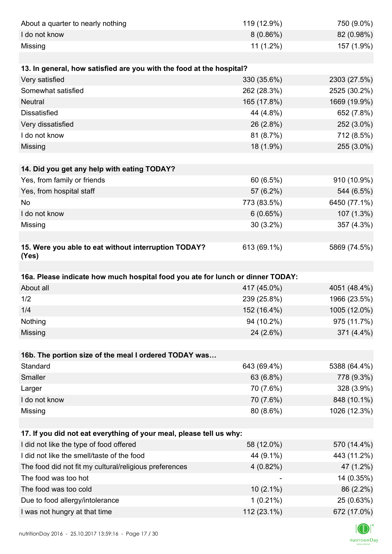| About a quarter to nearly nothing                                              | 119 (12.9%)                | 750 (9.0%)                |
|--------------------------------------------------------------------------------|----------------------------|---------------------------|
| I do not know                                                                  | $8(0.86\%)$                | 82 (0.98%)                |
| Missing                                                                        | 11 (1.2%)                  | 157 (1.9%)                |
|                                                                                |                            |                           |
| 13. In general, how satisfied are you with the food at the hospital?           |                            |                           |
| Very satisfied                                                                 | 330 (35.6%)                | 2303 (27.5%)              |
| Somewhat satisfied                                                             | 262 (28.3%)                | 2525 (30.2%)              |
| <b>Neutral</b>                                                                 | 165 (17.8%)                | 1669 (19.9%)              |
| <b>Dissatisfied</b>                                                            | 44 (4.8%)                  | 652 (7.8%)                |
| Very dissatisfied                                                              | 26 (2.8%)                  | 252 (3.0%)                |
| I do not know                                                                  | 81 (8.7%)                  | 712 (8.5%)                |
| Missing                                                                        | 18 (1.9%)                  | 255 (3.0%)                |
|                                                                                |                            |                           |
| 14. Did you get any help with eating TODAY?                                    |                            |                           |
| Yes, from family or friends                                                    | 60 (6.5%)                  | 910 (10.9%)               |
| Yes, from hospital staff                                                       | 57 (6.2%)                  | 544 (6.5%)                |
| No                                                                             | 773 (83.5%)                | 6450 (77.1%)              |
| I do not know                                                                  | 6(0.65%)                   | 107 (1.3%)                |
| Missing                                                                        | $30(3.2\%)$                | 357 (4.3%)                |
|                                                                                |                            |                           |
| 15. Were you able to eat without interruption TODAY?<br>(Yes)                  | 613 (69.1%)                | 5869 (74.5%)              |
|                                                                                |                            |                           |
|                                                                                |                            |                           |
| 16a. Please indicate how much hospital food you ate for lunch or dinner TODAY: |                            |                           |
| About all                                                                      | 417 (45.0%)                | 4051 (48.4%)              |
| 1/2                                                                            | 239 (25.8%)                | 1966 (23.5%)              |
| 1/4                                                                            | 152 (16.4%)                | 1005 (12.0%)              |
| Nothing                                                                        | 94 (10.2%)                 | 975 (11.7%)               |
| Missing                                                                        | 24 (2.6%)                  | 371 (4.4%)                |
|                                                                                |                            |                           |
| 16b. The portion size of the meal I ordered TODAY was                          |                            |                           |
| Standard                                                                       | 643 (69.4%)                | 5388 (64.4%)              |
| Smaller                                                                        | 63 (6.8%)                  | 778 (9.3%)                |
| Larger                                                                         | 70 (7.6%)                  | 328 (3.9%)                |
| I do not know                                                                  | 70 (7.6%)                  | 848 (10.1%)               |
| Missing                                                                        | 80 (8.6%)                  | 1026 (12.3%)              |
|                                                                                |                            |                           |
| 17. If you did not eat everything of your meal, please tell us why:            |                            |                           |
| I did not like the type of food offered                                        | 58 (12.0%)                 | 570 (14.4%)               |
| I did not like the smell/taste of the food                                     | 44 (9.1%)                  | 443 (11.2%)               |
| The food did not fit my cultural/religious preferences                         | $4(0.82\%)$                | 47 (1.2%)                 |
| The food was too hot                                                           |                            | 14 (0.35%)                |
| The food was too cold                                                          | $10(2.1\%)$                | 86 (2.2%)                 |
| Due to food allergy/intolerance<br>I was not hungry at that time               | $1(0.21\%)$<br>112 (23.1%) | 25 (0.63%)<br>672 (17.0%) |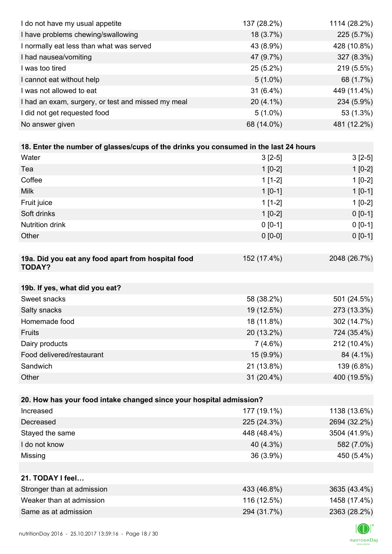| I do not have my usual appetite                                                      | 137 (28.2%) | 1114 (28.2%) |
|--------------------------------------------------------------------------------------|-------------|--------------|
| I have problems chewing/swallowing                                                   | 18 (3.7%)   | 225 (5.7%)   |
| I normally eat less than what was served                                             | 43 (8.9%)   | 428 (10.8%)  |
| I had nausea/vomiting                                                                | 47 (9.7%)   | 327 (8.3%)   |
| I was too tired                                                                      | $25(5.2\%)$ | 219 (5.5%)   |
| I cannot eat without help                                                            | $5(1.0\%)$  | 68 (1.7%)    |
| I was not allowed to eat                                                             | $31(6.4\%)$ | 449 (11.4%)  |
| I had an exam, surgery, or test and missed my meal                                   | $20(4.1\%)$ | 234 (5.9%)   |
| I did not get requested food                                                         | $5(1.0\%)$  | 53 (1.3%)    |
| No answer given                                                                      | 68 (14.0%)  | 481 (12.2%)  |
|                                                                                      |             |              |
| 18. Enter the number of glasses/cups of the drinks you consumed in the last 24 hours |             |              |
| Water                                                                                | $3[2-5]$    | $3[2-5]$     |
| Tea                                                                                  | $1$ [0-2]   | $1[0-2]$     |
| Coffee                                                                               | $1[1-2]$    | $1[0-2]$     |
| <b>Milk</b>                                                                          | $1 [0-1]$   | $1[0-1]$     |
| Fruit juice                                                                          | $1[1-2]$    | $1[0-2]$     |
| Soft drinks                                                                          | $1[0-2]$    | $0[0-1]$     |
| <b>Nutrition drink</b>                                                               | $0 [0-1]$   | $0 [0-1]$    |
| Other                                                                                | $0 [0-0]$   | $0 [0-1]$    |
|                                                                                      |             |              |
| 19a. Did you eat any food apart from hospital food<br><b>TODAY?</b>                  | 152 (17.4%) | 2048 (26.7%) |
| 19b. If yes, what did you eat?                                                       |             |              |
| Sweet snacks                                                                         | 58 (38.2%)  | 501 (24.5%)  |
| Salty snacks                                                                         | 19 (12.5%)  | 273 (13.3%)  |
| Homemade food                                                                        | 18 (11.8%)  | 302 (14.7%)  |
| Fruits                                                                               | 20 (13.2%)  | 724 (35.4%)  |
| Dairy products                                                                       | $7(4.6\%)$  | 212 (10.4%)  |
| Food delivered/restaurant                                                            | 15 (9.9%)   | 84 (4.1%)    |
| Sandwich                                                                             | 21 (13.8%)  | 139 (6.8%)   |
| Other                                                                                | 31 (20.4%)  | 400 (19.5%)  |
|                                                                                      |             |              |
| 20. How has your food intake changed since your hospital admission?                  |             |              |
| Increased                                                                            | 177 (19.1%) | 1138 (13.6%) |
| Decreased                                                                            | 225 (24.3%) | 2694 (32.2%) |
| Stayed the same                                                                      | 448 (48.4%) | 3504 (41.9%) |
| I do not know                                                                        | 40 (4.3%)   | 582 (7.0%)   |
| Missing                                                                              | 36 (3.9%)   | 450 (5.4%)   |
|                                                                                      |             |              |
| 21. TODAY I feel                                                                     |             |              |
| Stronger than at admission                                                           | 433 (46.8%) | 3635 (43.4%) |
| Weaker than at admission                                                             | 116 (12.5%) | 1458 (17.4%) |
| Same as at admission                                                                 | 294 (31.7%) | 2363 (28.2%) |
|                                                                                      |             |              |

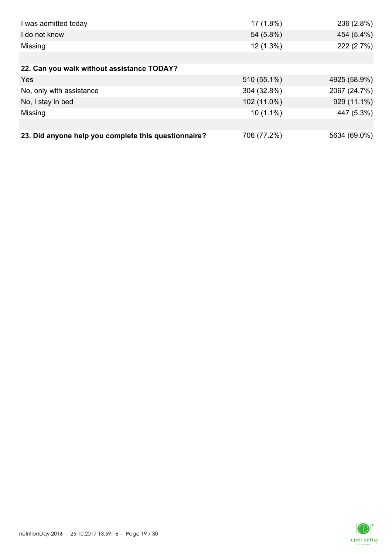| I was admitted today                                 | 17 (1.8%)   | 236 (2.8%)   |
|------------------------------------------------------|-------------|--------------|
| I do not know                                        | 54 (5.8%)   | 454 (5.4%)   |
| Missing                                              | 12 (1.3%)   | 222 (2.7%)   |
|                                                      |             |              |
| 22. Can you walk without assistance TODAY?           |             |              |
| Yes                                                  | 510 (55.1%) | 4925 (58.9%) |
| No, only with assistance                             | 304 (32.8%) | 2067 (24.7%) |
| No, I stay in bed                                    | 102 (11.0%) | 929 (11.1%)  |
| Missing                                              | $10(1.1\%)$ | 447 (5.3%)   |
|                                                      |             |              |
| 23. Did anyone help you complete this questionnaire? | 706 (77.2%) | 5634 (69.0%) |

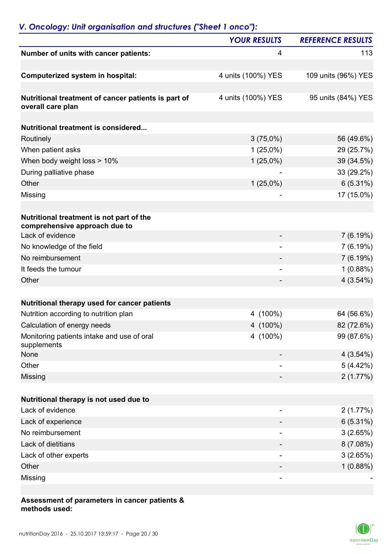## *V. Oncology: Unit organisation and structures ("Sheet 1 onco"):*

|                                                                           | <b>YOUR RESULTS</b>      | <b>REFERENCE RESULTS</b> |
|---------------------------------------------------------------------------|--------------------------|--------------------------|
| Number of units with cancer patients:                                     | 4                        | 113                      |
| Computerized system in hospital:                                          | 4 units (100%) YES       | 109 units (96%) YES      |
| Nutritional treatment of cancer patients is part of<br>overall care plan  | 4 units (100%) YES       | 95 units (84%) YES       |
| <b>Nutritional treatment is considered</b>                                |                          |                          |
| Routinely                                                                 | $3(75,0\%)$              | 56 (49.6%)               |
| When patient asks                                                         | $1(25,0\%)$              | 29 (25.7%)               |
| When body weight loss > 10%                                               | $1(25,0\%)$              | 39 (34.5%)               |
| During palliative phase                                                   |                          | 33 (29.2%)               |
| Other                                                                     | $1(25,0\%)$              | $6(5.31\%)$              |
| Missing                                                                   |                          | 17 (15.0%)               |
|                                                                           |                          |                          |
| Nutritional treatment is not part of the<br>comprehensive approach due to |                          |                          |
| Lack of evidence                                                          |                          | 7(6.19%)                 |
| No knowledge of the field                                                 |                          | 7(6.19%)                 |
| No reimbursement                                                          |                          | 7(6.19%)                 |
| It feeds the tumour                                                       | $\overline{\phantom{0}}$ | 1(0.88%)                 |
| Other                                                                     |                          | 4(3.54%)                 |
|                                                                           |                          |                          |
| Nutritional therapy used for cancer patients                              |                          |                          |
| Nutrition according to nutrition plan                                     | 4 (100%)                 | 64 (56.6%)               |
| Calculation of energy needs                                               | 4 (100%)                 | 82 (72.6%)               |
| Monitoring patients intake and use of oral<br>supplements                 | 4 (100%)                 | 99 (87.6%)               |
| None                                                                      |                          | 4(3.54%)                 |
| Other                                                                     |                          | 5(4.42%)                 |
| Missing                                                                   |                          | 2(1.77%)                 |
| Nutritional therapy is not used due to                                    |                          |                          |
| Lack of evidence                                                          |                          | 2(1.77%)                 |
| Lack of experience                                                        |                          | 6(5.31%)                 |
| No reimbursement                                                          |                          | 3(2.65%)                 |
| Lack of dietitians                                                        |                          | 8(7.08%)                 |
| Lack of other experts                                                     | $\overline{a}$           | 3(2.65%)                 |
| Other                                                                     |                          | 1(0.88%)                 |
| Missing                                                                   |                          |                          |
|                                                                           |                          |                          |

#### **Assessment of parameters in cancer patients & methods used:**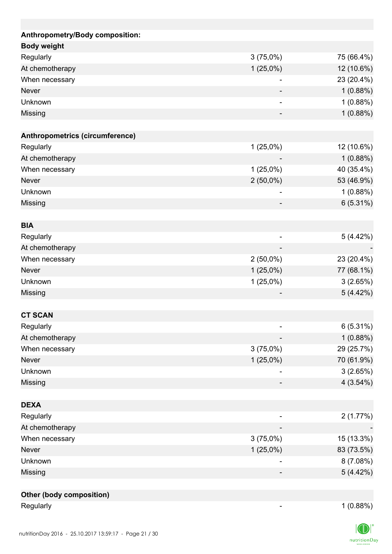| Anthropometry/Body composition: |             |            |
|---------------------------------|-------------|------------|
| <b>Body weight</b>              |             |            |
| Regularly                       | 3(75,0%)    | 75 (66.4%) |
| At chemotherapy                 | $1(25,0\%)$ | 12 (10.6%) |
| When necessary                  |             | 23 (20.4%) |
| <b>Never</b>                    |             | 1(0.88%)   |
| Unknown                         |             | 1(0.88%)   |
| Missing                         |             | 1(0.88%)   |
| Anthropometrics (circumference) |             |            |
| Regularly                       | $1(25,0\%)$ | 12 (10.6%) |
| At chemotherapy                 |             | 1(0.88%)   |
| When necessary                  | $1(25,0\%)$ | 40 (35.4%) |
| <b>Never</b>                    | $2(50,0\%)$ | 53 (46.9%) |
| Unknown                         |             | 1(0.88%)   |
| Missing                         |             | 6(5.31%)   |
| <b>BIA</b>                      |             |            |
| Regularly                       |             | 5(4.42%)   |
| At chemotherapy                 |             |            |
| When necessary                  | $2(50,0\%)$ | 23 (20.4%) |
| <b>Never</b>                    | $1(25,0\%)$ | 77 (68.1%) |
| Unknown                         | $1(25,0\%)$ | 3(2.65%)   |
| Missing                         |             | 5(4.42%)   |
|                                 |             |            |
| <b>CT SCAN</b>                  |             |            |
| Regularly                       |             | 6(5.31%)   |
| At chemotherapy                 |             | 1(0.88%)   |
| When necessary                  | $3(75,0\%)$ | 29 (25.7%) |
| <b>Never</b>                    | $1(25,0\%)$ | 70 (61.9%) |
| Unknown                         |             | 3(2.65%)   |
| Missing                         |             | 4(3.54%)   |
| <b>DEXA</b>                     |             |            |
| Regularly                       |             | 2(1.77%)   |
| At chemotherapy                 |             |            |
| When necessary                  | 3(75,0%)    | 15 (13.3%) |
| Never                           | $1(25,0\%)$ | 83 (73.5%) |
| Unknown                         |             | 8(7.08%)   |
| Missing                         |             | 5(4.42%)   |
|                                 |             |            |
| <b>Other (body composition)</b> |             |            |
| Regularly                       |             | 1(0.88%)   |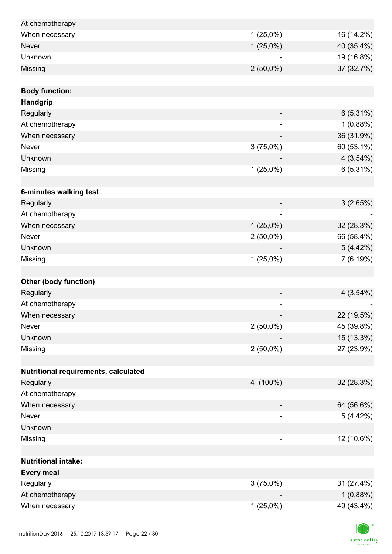| At chemotherapy                      |                          |             |
|--------------------------------------|--------------------------|-------------|
| When necessary                       | $1(25,0\%)$              | 16 (14.2%)  |
| <b>Never</b>                         | $1(25,0\%)$              | 40 (35.4%)  |
| Unknown                              |                          | 19 (16.8%)  |
| Missing                              | $2(50,0\%)$              | 37 (32.7%)  |
|                                      |                          |             |
| <b>Body function:</b>                |                          |             |
| Handgrip                             |                          |             |
| Regularly                            |                          | 6(5.31%)    |
| At chemotherapy                      |                          | 1(0.88%)    |
| When necessary                       |                          | 36 (31.9%)  |
| Never                                | 3(75,0%)                 | 60 (53.1%)  |
| Unknown                              |                          | 4(3.54%)    |
| Missing                              | $1(25,0\%)$              | 6(5.31%)    |
|                                      |                          |             |
| 6-minutes walking test               |                          |             |
| Regularly                            |                          | 3(2.65%)    |
| At chemotherapy                      |                          |             |
| When necessary                       | $1(25,0\%)$              | 32 (28.3%)  |
| Never                                | $2(50,0\%)$              | 66 (58.4%)  |
| Unknown                              |                          | 5(4.42%)    |
| Missing                              | $1(25,0\%)$              | 7(6.19%)    |
|                                      |                          |             |
| <b>Other (body function)</b>         |                          |             |
| Regularly                            |                          | $4(3.54\%)$ |
| At chemotherapy                      |                          |             |
| When necessary                       |                          | 22 (19.5%)  |
| Never                                | $2(50,0\%)$              | 45 (39.8%)  |
| Unknown                              |                          | 15 (13.3%)  |
| Missing                              | $2(50,0\%)$              | 27 (23.9%)  |
|                                      |                          |             |
| Nutritional requirements, calculated |                          |             |
| Regularly                            | 4 (100%)                 | 32 (28.3%)  |
| At chemotherapy                      |                          |             |
| When necessary                       |                          | 64 (56.6%)  |
| Never                                |                          | 5(4.42%)    |
| Unknown                              |                          |             |
| Missing                              | $\overline{\phantom{0}}$ | 12 (10.6%)  |
|                                      |                          |             |
| <b>Nutritional intake:</b>           |                          |             |
| <b>Every meal</b>                    |                          |             |
| Regularly                            | $3(75,0\%)$              | 31 (27.4%)  |
| At chemotherapy                      |                          | 1(0.88%)    |
| When necessary                       | $1(25,0\%)$              | 49 (43.4%)  |
|                                      |                          |             |

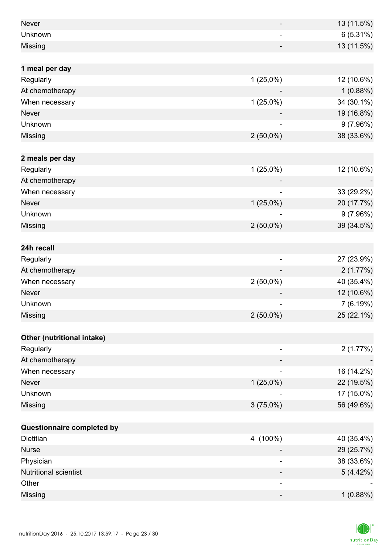| <b>Never</b>                 | $\qquad \qquad \blacksquare$ | 13 (11.5%) |
|------------------------------|------------------------------|------------|
| Unknown                      |                              | 6(5.31%)   |
| Missing                      |                              | 13 (11.5%) |
|                              |                              |            |
| 1 meal per day               |                              |            |
| Regularly                    | $1(25,0\%)$                  | 12 (10.6%) |
| At chemotherapy              |                              | 1(0.88%)   |
| When necessary               | $1(25,0\%)$                  | 34 (30.1%) |
| <b>Never</b>                 |                              | 19 (16.8%) |
| Unknown                      |                              | 9(7.96%)   |
| Missing                      | $2(50,0\%)$                  | 38 (33.6%) |
|                              |                              |            |
| 2 meals per day              |                              |            |
| Regularly                    | $1(25,0\%)$                  | 12 (10.6%) |
| At chemotherapy              |                              |            |
| When necessary               | $\overline{\phantom{0}}$     | 33 (29.2%) |
| <b>Never</b>                 | $1(25,0\%)$                  | 20 (17.7%) |
| Unknown                      |                              | 9(7.96%)   |
| Missing                      | $2(50,0\%)$                  | 39 (34.5%) |
|                              |                              |            |
| 24h recall                   |                              |            |
| Regularly                    |                              | 27 (23.9%) |
| At chemotherapy              |                              | 2(1.77%)   |
| When necessary               | $2(50,0\%)$                  | 40 (35.4%) |
| <b>Never</b>                 |                              | 12 (10.6%) |
| Unknown                      | ۳                            | 7(6.19%)   |
| <b>Missing</b>               | $2(50,0\%)$                  | 25 (22.1%) |
|                              |                              |            |
| Other (nutritional intake)   |                              |            |
| Regularly                    | -                            | 2(1.77%)   |
| At chemotherapy              |                              |            |
| When necessary               |                              | 16 (14.2%) |
| <b>Never</b>                 | $1(25,0\%)$                  | 22 (19.5%) |
| Unknown                      |                              | 17 (15.0%) |
| Missing                      | 3(75,0%)                     | 56 (49.6%) |
|                              |                              |            |
| Questionnaire completed by   |                              |            |
| Dietitian                    | 4 (100%)                     | 40 (35.4%) |
| <b>Nurse</b>                 |                              | 29 (25.7%) |
| Physician                    |                              | 38 (33.6%) |
| <b>Nutritional scientist</b> |                              | 5(4.42%)   |
| Other                        | ۰                            |            |
| Missing                      | -                            | 1(0.88%)   |

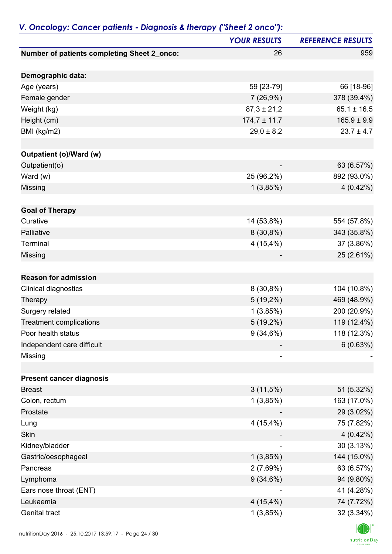|                                                    | <b>YOUR RESULTS</b> | <b>REFERENCE RESULTS</b> |
|----------------------------------------------------|---------------------|--------------------------|
| <b>Number of patients completing Sheet 2_onco:</b> | 26                  | 959                      |
| Demographic data:                                  |                     |                          |
| Age (years)                                        | 59 [23-79]          | 66 [18-96]               |
| Female gender                                      | 7(26,9%)            | 378 (39.4%)              |
| Weight (kg)                                        | $87,3 \pm 21,2$     | $65.1 \pm 16.5$          |
| Height (cm)                                        | $174,7 \pm 11,7$    | $165.9 \pm 9.9$          |
| BMI (kg/m2)                                        | $29,0 \pm 8,2$      | $23.7 \pm 4.7$           |
| <b>Outpatient (o)/Ward (w)</b>                     |                     |                          |
| Outpatient(o)                                      |                     | 63 (6.57%)               |
| Ward (w)                                           | 25 (96,2%)          | 892 (93.0%)              |
| <b>Missing</b>                                     | 1(3,85%)            | 4(0.42%)                 |
| <b>Goal of Therapy</b>                             |                     |                          |
| Curative                                           | 14 (53,8%)          | 554 (57.8%)              |
| Palliative                                         | $8(30,8\%)$         | 343 (35.8%)              |
| Terminal                                           | 4(15,4%)            | 37 (3.86%)               |
| Missing                                            |                     | 25 (2.61%)               |
|                                                    |                     |                          |
| <b>Reason for admission</b>                        |                     |                          |
| Clinical diagnostics                               | $8(30,8\%)$         | 104 (10.8%)              |
| Therapy                                            | $5(19,2\%)$         | 469 (48.9%)              |
| Surgery related                                    | 1(3,85%)            | 200 (20.9%)              |
| <b>Treatment complications</b>                     | 5 (19,2%)           | 119 (12.4%)              |
| Poor health status                                 | 9(34,6%)            | 118 (12.3%)              |
| Independent care difficult                         |                     | 6(0.63%)                 |
| Missing                                            |                     |                          |
|                                                    |                     |                          |
| <b>Present cancer diagnosis</b><br><b>Breast</b>   | 3(11,5%)            | 51 (5.32%)               |
| Colon, rectum                                      | 1(3,85%)            | 163 (17.0%)              |
| Prostate                                           |                     | 29 (3.02%)               |
| Lung                                               | 4(15,4%)            | 75 (7.82%)               |
| <b>Skin</b>                                        |                     | $4(0.42\%)$              |
| Kidney/bladder                                     |                     | 30 (3.13%)               |
| Gastric/oesophageal                                | 1(3,85%)            | 144 (15.0%)              |
| Pancreas                                           | 2(7,69%)            | 63 (6.57%)               |
| Lymphoma                                           | 9(34,6%)            | 94 (9.80%)               |
| Ears nose throat (ENT)                             |                     | 41 (4.28%)               |
| Leukaemia                                          | $4(15,4\%)$         | 74 (7.72%)               |
| Genital tract                                      | 1(3,85%)            | 32 (3.34%)               |
|                                                    |                     |                          |

## *V. Oncology: Cancer patients - Diagnosis & therapy ("Sheet 2 onco"):*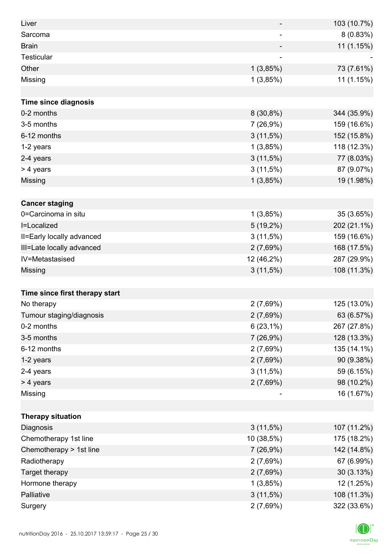| Liver                          |                          | 103 (10.7%) |
|--------------------------------|--------------------------|-------------|
| Sarcoma                        | $\overline{\phantom{a}}$ | 8(0.83%)    |
| <b>Brain</b>                   |                          | 11 (1.15%)  |
| Testicular                     |                          |             |
| Other                          | 1(3,85%)                 | 73 (7.61%)  |
| Missing                        | 1(3,85%)                 | 11 (1.15%)  |
|                                |                          |             |
| <b>Time since diagnosis</b>    |                          |             |
| 0-2 months                     | $8(30,8\%)$              | 344 (35.9%) |
| 3-5 months                     | 7(26,9%)                 | 159 (16.6%) |
| 6-12 months                    | 3(11,5%)                 | 152 (15.8%) |
| 1-2 years                      | 1(3,85%)                 | 118 (12.3%) |
| 2-4 years                      | $3(11,5\%)$              | 77 (8.03%)  |
| > 4 years                      | $3(11,5\%)$              | 87 (9.07%)  |
| Missing                        | 1(3,85%)                 | 19 (1.98%)  |
|                                |                          |             |
| <b>Cancer staging</b>          |                          |             |
| 0=Carcinoma in situ            | 1(3,85%)                 | 35 (3.65%)  |
| I=Localized                    | $5(19,2\%)$              | 202 (21.1%) |
| II=Early locally advanced      | $3(11,5\%)$              | 159 (16.6%) |
| III=Late locally advanced      | 2(7,69%)                 | 168 (17.5%) |
| IV=Metastasised                | 12 (46,2%)               | 287 (29.9%) |
| Missing                        | $3(11,5\%)$              | 108 (11.3%) |
|                                |                          |             |
| Time since first therapy start |                          |             |
| No therapy                     | 2(7,69%)                 | 125 (13.0%) |
| Tumour staging/diagnosis       | 2(7,69%)                 | 63 (6.57%)  |
| 0-2 months                     | $6(23,1\%)$              | 267 (27.8%) |
| 3-5 months                     | 7 (26,9%)                | 128 (13.3%) |
| 6-12 months                    | 2(7,69%)                 | 135 (14.1%) |
| 1-2 years                      | 2(7,69%)                 | 90 (9.38%)  |
| 2-4 years                      | $3(11,5\%)$              | 59 (6.15%)  |
| > 4 years                      | 2(7,69%)                 | 98 (10.2%)  |
| Missing                        | ٠                        | 16 (1.67%)  |
|                                |                          |             |
| <b>Therapy situation</b>       |                          |             |
| Diagnosis                      | $3(11,5\%)$              | 107 (11.2%) |
| Chemotherapy 1st line          | 10 (38,5%)               | 175 (18.2%) |
| Chemotherapy > 1st line        | 7(26,9%)                 | 142 (14.8%) |
| Radiotherapy                   | 2(7,69%)                 | 67 (6.99%)  |
| Target therapy                 | 2(7,69%)                 | 30 (3.13%)  |
| Hormone therapy                | 1(3,85%)                 | 12 (1.25%)  |
| Palliative                     | $3(11,5\%)$              | 108 (11.3%) |
| Surgery                        | 2(7,69%)                 | 322 (33.6%) |

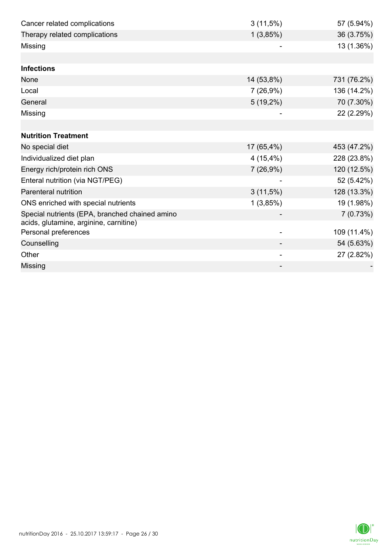| Cancer related complications                   | $3(11,5\%)$ | 57 (5.94%)  |
|------------------------------------------------|-------------|-------------|
| Therapy related complications                  | 1(3,85%)    | 36 (3.75%)  |
| Missing                                        |             | 13 (1.36%)  |
|                                                |             |             |
| <b>Infections</b>                              |             |             |
| None                                           | 14 (53,8%)  | 731 (76.2%) |
| Local                                          | 7(26,9%)    | 136 (14.2%) |
| General                                        | $5(19,2\%)$ | 70 (7.30%)  |
| Missing                                        |             | 22 (2.29%)  |
|                                                |             |             |
| <b>Nutrition Treatment</b>                     |             |             |
| No special diet                                | 17 (65,4%)  | 453 (47.2%) |
| Individualized diet plan                       | $4(15,4\%)$ | 228 (23.8%) |
| Energy rich/protein rich ONS                   | 7(26,9%)    | 120 (12.5%) |
| Enteral nutrition (via NGT/PEG)                |             | 52 (5.42%)  |
| <b>Parenteral nutrition</b>                    | $3(11,5\%)$ | 128 (13.3%) |
| ONS enriched with special nutrients            | 1(3,85%)    | 19 (1.98%)  |
| Special nutrients (EPA, branched chained amino |             | 7(0.73%)    |
| acids, glutamine, arginine, carnitine)         |             |             |
| Personal preferences                           |             | 109 (11.4%) |
| Counselling                                    |             | 54 (5.63%)  |
| Other                                          |             | 27 (2.82%)  |
| Missing                                        |             |             |

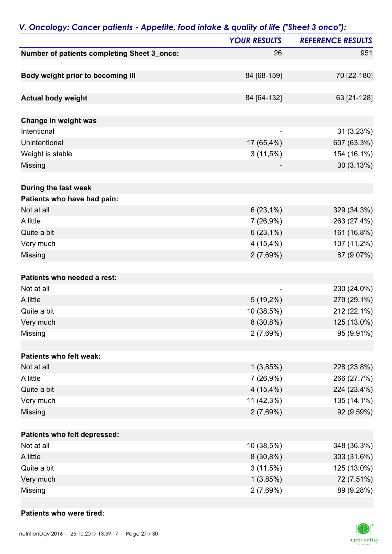| . Oncology, current puncting imposite, rood imake a goality of life ( brief is once ). | <b>YOUR RESULTS</b> | <b>REFERENCE RESULTS</b> |
|----------------------------------------------------------------------------------------|---------------------|--------------------------|
| Number of patients completing Sheet 3_onco:                                            | 26                  | 951                      |
|                                                                                        |                     |                          |
| Body weight prior to becoming ill                                                      | 84 [68-159]         | 70 [22-180]              |
| <b>Actual body weight</b>                                                              | 84 [64-132]         | 63 [21-128]              |
|                                                                                        |                     |                          |
| Change in weight was                                                                   |                     |                          |
| Intentional                                                                            |                     | 31 (3.23%)               |
| Unintentional                                                                          | 17 (65,4%)          | 607 (63.3%)              |
| Weight is stable                                                                       | $3(11,5\%)$         | 154 (16.1%)              |
| Missing                                                                                |                     | 30(3.13%)                |
| During the last week                                                                   |                     |                          |
| Patients who have had pain:                                                            |                     |                          |
| Not at all                                                                             | $6(23,1\%)$         | 329 (34.3%)              |
| A little                                                                               | 7(26,9%)            | 263 (27.4%)              |
| Quite a bit                                                                            | $6(23,1\%)$         | 161 (16.8%)              |
| Very much                                                                              | 4(15,4%)            | 107 (11.2%)              |
| Missing                                                                                | 2(7,69%)            | 87 (9.07%)               |
| Patients who needed a rest:                                                            |                     |                          |
| Not at all                                                                             |                     | 230 (24.0%)              |
| A little                                                                               | $5(19,2\%)$         | 279 (29.1%)              |
| Quite a bit                                                                            | 10 (38,5%)          | 212 (22.1%)              |
| Very much                                                                              | $8(30,8\%)$         | 125 (13.0%)              |
| Missing                                                                                | 2(7,69%)            | 95 (9.91%)               |
| Patients who felt weak:                                                                |                     |                          |
| Not at all                                                                             | 1(3,85%)            | 228 (23.8%)              |
| A little                                                                               | 7(26,9%)            | 266 (27.7%)              |
| Quite a bit                                                                            | $4(15,4\%)$         | 224 (23.4%)              |
| Very much                                                                              | 11 (42,3%)          | 135 (14.1%)              |
| Missing                                                                                | 2(7,69%)            | 92 (9.59%)               |
|                                                                                        |                     |                          |
| Patients who felt depressed:                                                           |                     |                          |
| Not at all                                                                             | 10 (38,5%)          | 348 (36.3%)              |
| A little                                                                               | $8(30,8\%)$         | 303 (31.6%)              |
| Quite a bit                                                                            | 3(11,5%)            | 125 (13.0%)              |
| Very much                                                                              | 1(3,85%)            | 72 (7.51%)               |
| Missing                                                                                | 2(7,69%)            | 89 (9.28%)               |

### *V. Oncology: Cancer patients - Appetite, food intake & quality of life ("Sheet 3 onco"):*

#### **Patients who were tired:**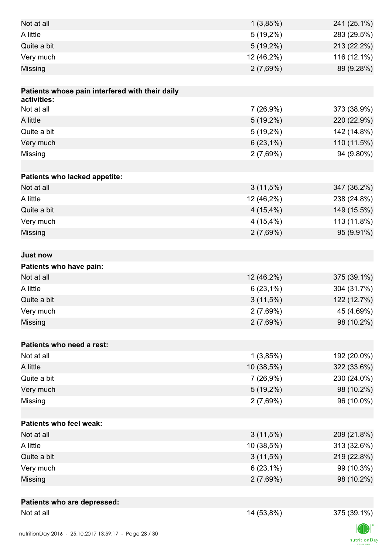| Not at all                                      | 1(3,85%)    | 241 (25.1%) |
|-------------------------------------------------|-------------|-------------|
| A little                                        | $5(19,2\%)$ | 283 (29.5%) |
| Quite a bit                                     | $5(19,2\%)$ | 213 (22.2%) |
| Very much                                       | 12 (46,2%)  | 116 (12.1%) |
| Missing                                         | 2(7,69%)    | 89 (9.28%)  |
|                                                 |             |             |
| Patients whose pain interfered with their daily |             |             |
| activities:                                     |             |             |
| Not at all                                      | 7(26,9%)    | 373 (38.9%) |
| A little                                        | $5(19,2\%)$ | 220 (22.9%) |
| Quite a bit                                     | $5(19,2\%)$ | 142 (14.8%) |
| Very much                                       | $6(23,1\%)$ | 110 (11.5%) |
| Missing                                         | 2(7,69%)    | 94 (9.80%)  |
|                                                 |             |             |
| Patients who lacked appetite:                   |             |             |
| Not at all                                      | $3(11,5\%)$ | 347 (36.2%) |
| A little                                        | 12 (46,2%)  | 238 (24.8%) |
| Quite a bit                                     | $4(15,4\%)$ | 149 (15.5%) |
| Very much                                       | $4(15,4\%)$ | 113 (11.8%) |
| Missing                                         | 2(7,69%)    | 95 (9.91%)  |
|                                                 |             |             |
| <b>Just now</b>                                 |             |             |
| Patients who have pain:                         |             |             |
| Not at all                                      | 12 (46,2%)  | 375 (39.1%) |
| A little                                        | $6(23,1\%)$ | 304 (31.7%) |
| Quite a bit                                     | $3(11,5\%)$ | 122 (12.7%) |
| Very much                                       | 2(7,69%)    | 45 (4.69%)  |
| Missing                                         | 2(7,69%)    | 98 (10.2%)  |
|                                                 |             |             |
| Patients who need a rest:                       |             |             |
| Not at all                                      | 1(3,85%)    | 192 (20.0%) |
| A little                                        | 10 (38,5%)  | 322 (33.6%) |
| Quite a bit                                     | 7(26,9%)    | 230 (24.0%) |
| Very much                                       | $5(19,2\%)$ | 98 (10.2%)  |
| Missing                                         | 2(7,69%)    | 96 (10.0%)  |
|                                                 |             |             |
| <b>Patients who feel weak:</b>                  |             |             |
| Not at all                                      | $3(11,5\%)$ | 209 (21.8%) |
| A little                                        | 10 (38,5%)  | 313 (32.6%) |
| Quite a bit                                     | $3(11,5\%)$ | 219 (22.8%) |
| Very much                                       | $6(23,1\%)$ | 99 (10.3%)  |
| Missing                                         | 2(7,69%)    | 98 (10.2%)  |
|                                                 |             |             |
| Patients who are depressed:                     |             |             |
| Not at all                                      | 14 (53,8%)  | 375 (39.1%) |
|                                                 |             |             |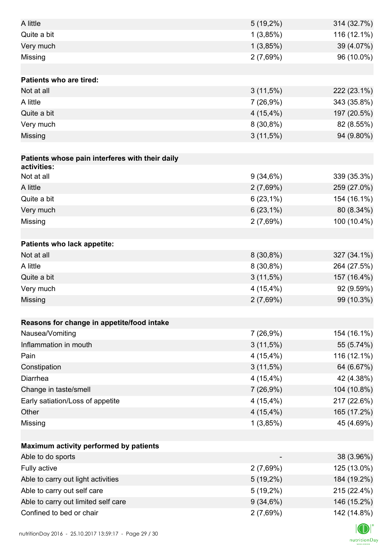| A little                                        | $5(19,2\%)$ | 314 (32.7%) |
|-------------------------------------------------|-------------|-------------|
| Quite a bit                                     | 1(3,85%)    | 116 (12.1%) |
| Very much                                       | 1(3,85%)    | 39 (4.07%)  |
| Missing                                         | 2(7,69%)    | 96 (10.0%)  |
|                                                 |             |             |
| <b>Patients who are tired:</b>                  |             |             |
| Not at all                                      | $3(11,5\%)$ | 222 (23.1%) |
| A little                                        | 7(26,9%)    | 343 (35.8%) |
| Quite a bit                                     | $4(15,4\%)$ | 197 (20.5%) |
| Very much                                       | $8(30,8\%)$ | 82 (8.55%)  |
| Missing                                         | 3(11,5%)    | 94 (9.80%)  |
|                                                 |             |             |
| Patients whose pain interferes with their daily |             |             |
| activities:                                     |             |             |
| Not at all                                      | 9(34,6%)    | 339 (35.3%) |
| A little                                        | 2(7,69%)    | 259 (27.0%) |
| Quite a bit                                     | $6(23,1\%)$ | 154 (16.1%) |
| Very much                                       | $6(23,1\%)$ | 80 (8.34%)  |
| Missing                                         | 2(7,69%)    | 100 (10.4%) |
| Patients who lack appetite:                     |             |             |
| Not at all                                      | $8(30,8\%)$ | 327 (34.1%) |
| A little                                        | $8(30,8\%)$ | 264 (27.5%) |
| Quite a bit                                     | $3(11,5\%)$ | 157 (16.4%) |
| Very much                                       | $4(15,4\%)$ | 92 (9.59%)  |
| Missing                                         | 2(7,69%)    | 99 (10.3%)  |
|                                                 |             |             |
| Reasons for change in appetite/food intake      |             |             |
| Nausea/Vomiting                                 | 7(26,9%)    | 154 (16.1%) |
| Inflammation in mouth                           | $3(11,5\%)$ | 55 (5.74%)  |
| Pain                                            | 4(15,4%)    | 116 (12.1%) |
| Constipation                                    | $3(11,5\%)$ | 64 (6.67%)  |
| Diarrhea                                        | $4(15,4\%)$ | 42 (4.38%)  |
| Change in taste/smell                           | 7(26,9%)    | 104 (10.8%) |
| Early satiation/Loss of appetite                | $4(15,4\%)$ | 217 (22.6%) |
| Other                                           | $4(15,4\%)$ | 165 (17.2%) |
| Missing                                         | 1(3,85%)    | 45 (4.69%)  |
|                                                 |             |             |
| Maximum activity performed by patients          |             |             |
| Able to do sports                               |             | 38 (3.96%)  |
| Fully active                                    | 2(7,69%)    | 125 (13.0%) |
| Able to carry out light activities              | $5(19,2\%)$ | 184 (19.2%) |
| Able to carry out self care                     | $5(19,2\%)$ | 215 (22.4%) |
| Able to carry out limited self care             | $9(34,6\%)$ | 146 (15.2%) |
| Confined to bed or chair                        | 2(7,69%)    | 142 (14.8%) |